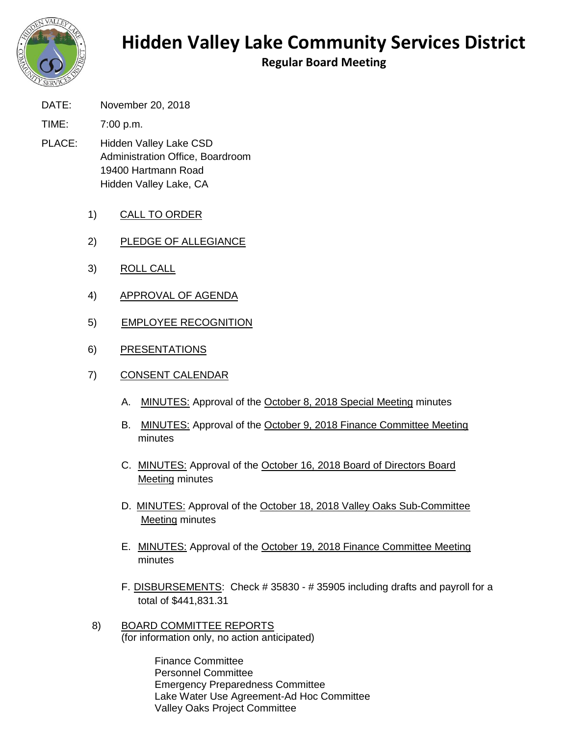

## **Hidden Valley Lake Community Services District**

**Regular Board Meeting**

- DATE: November 20, 2018
- TIME: 7:00 p.m.
- PLACE: Hidden Valley Lake CSD Administration Office, Boardroom 19400 Hartmann Road Hidden Valley Lake, CA
	- 1) CALL TO ORDER
	- 2) PLEDGE OF ALLEGIANCE
	- 3) ROLL CALL
	- 4) APPROVAL OF AGENDA
	- 5) EMPLOYEE RECOGNITION
	- 6) PRESENTATIONS
	- 7) CONSENT CALENDAR
		- A. MINUTES: Approval of the October 8, 2018 Special Meeting minutes
		- B. MINUTES: Approval of the October 9, 2018 Finance Committee Meeting minutes
		- C. MINUTES: Approval of the October 16, 2018 Board of Directors Board Meeting minutes
		- D. MINUTES: Approval of the October 18, 2018 Valley Oaks Sub-Committee Meeting minutes
		- E. MINUTES: Approval of the October 19, 2018 Finance Committee Meeting minutes
		- F. DISBURSEMENTS: Check # 35830 # 35905 including drafts and payroll for a total of \$441,831.31
	- 8) BOARD COMMITTEE REPORTS (for information only, no action anticipated)

Finance Committee Personnel Committee Emergency Preparedness Committee Lake Water Use Agreement-Ad Hoc Committee Valley Oaks Project Committee